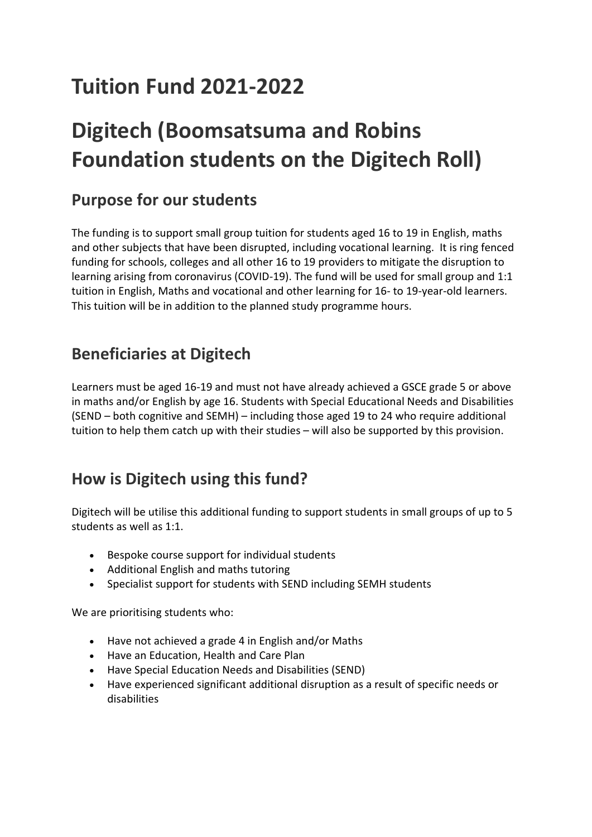# **Tuition Fund 2021-2022**

# **Digitech (Boomsatsuma and Robins Foundation students on the Digitech Roll)**

## **Purpose for our students**

The funding is to support small group tuition for students aged 16 to 19 in English, maths and other subjects that have been disrupted, including vocational learning. It is ring fenced funding for schools, colleges and all other 16 to 19 providers to mitigate the disruption to learning arising from coronavirus (COVID-19). The fund will be used for small group and 1:1 tuition in English, Maths and vocational and other learning for 16- to 19-year-old learners. This tuition will be in addition to the planned study programme hours.

#### **Beneficiaries at Digitech**

Learners must be aged 16-19 and must not have already achieved a GSCE grade 5 or above in maths and/or English by age 16. Students with Special Educational Needs and Disabilities (SEND – both cognitive and SEMH) – including those aged 19 to 24 who require additional tuition to help them catch up with their studies – will also be supported by this provision.

#### **How is Digitech using this fund?**

Digitech will be utilise this additional funding to support students in small groups of up to 5 students as well as 1:1.

- Bespoke course support for individual students
- Additional English and maths tutoring
- Specialist support for students with SEND including SEMH students

We are prioritising students who:

- Have not achieved a grade 4 in English and/or Maths
- Have an Education, Health and Care Plan
- Have Special Education Needs and Disabilities (SEND)
- Have experienced significant additional disruption as a result of specific needs or disabilities